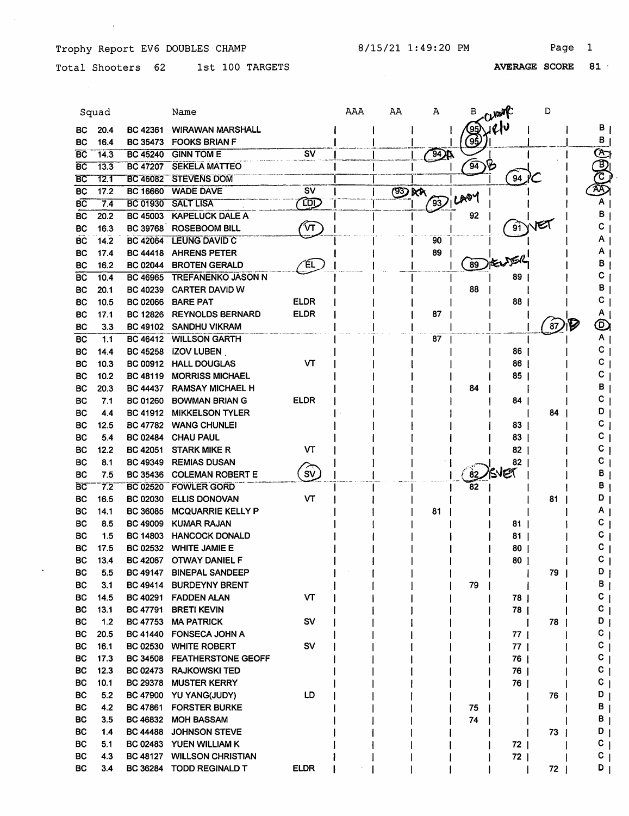$\sim 10$ 

 $\mathcal{L}$ 

Total Shooters 62 1st 100 TARGETS

|           | Squad |                 | Name                      |                          | AAA | AA           | Α            | в              | Creat    | D  |        |
|-----------|-------|-----------------|---------------------------|--------------------------|-----|--------------|--------------|----------------|----------|----|--------|
| BС        | 20.4  | <b>BC 42361</b> | <b>WIRAWAN MARSHALL</b>   |                          |     |              |              | (95)           | U        |    | в      |
| BС        | 16.4  | <b>BC 35473</b> | <b>FOOKS BRIAN F</b>      |                          |     |              |              | (95            |          |    | в      |
| <b>BC</b> | 14.3  | <b>BC 45240</b> | <b>GINN TOM E</b>         | <b>SV</b>                |     |              | $\mathbb{R}$ |                |          |    | COOC   |
| <b>BC</b> | 13.3  | <b>BC 47207</b> | <b>SEKELA MATTEO</b>      |                          |     |              |              | $\widehat{94}$ |          |    |        |
| BC        | 12.1  | BC 46082        | <b>STEVENS DOM</b>        |                          |     |              |              |                | 94       |    |        |
| <b>BC</b> | 17.2  | <b>BC 16660</b> | <b>WADE DAVE</b>          | $\overline{\mathsf{sv}}$ |     | <b>ED AA</b> |              |                |          |    |        |
| вc        | 7.4   | <b>BC 01930</b> | <b>SALT LISA</b>          | œ                        |     |              | 93           | LAOY           |          |    |        |
| <b>BC</b> | 20.2  | <b>BC 45003</b> | <b>KAPELUCK DALE A</b>    |                          |     |              |              | 92             |          |    | в      |
| BC        | 16.3  | <b>BC 39768</b> | <b>ROSEBOOM BILL</b>      | $\mathcal{M}$            |     |              |              |                | 91       |    | C      |
| <b>BC</b> | 14.2  | <b>BC 42064</b> | <b>LEUNG DAVID C</b>      |                          |     |              | 90           |                |          |    |        |
| BC        | 17.4  | <b>BC 44418</b> | <b>AHRENS PETER</b>       |                          |     |              | 89           |                |          |    | Α      |
| BС        | 16.2  | <b>BC 02044</b> | <b>BROTEN GERALD</b>      | ΈL                       |     |              |              | 89             |          |    | в      |
| BC        | 10.4  | BC 46965        | <b>TREFANENKO JASON N</b> |                          |     |              |              |                | 89       |    | C      |
| <b>BC</b> | 20.1  | <b>BC 40239</b> | <b>CARTER DAVID W</b>     |                          |     |              |              | 88             |          |    | в      |
| <b>BC</b> | 10.5  | <b>BC 02066</b> | <b>BARE PAT</b>           | <b>ELDR</b>              |     |              |              |                | 88       |    | c      |
| <b>BC</b> | 17.1  | <b>BC 12826</b> | <b>REYNOLDS BERNARD</b>   | <b>ELDR</b>              |     |              | 87           |                |          |    | Α      |
| <b>BC</b> | 3.3   | <b>BC 49102</b> | <b>SANDHU VIKRAM</b>      |                          |     |              |              |                |          | 87 | ©      |
| BC        | 1.1   |                 | BC 46412 WILLSON GARTH    |                          |     |              | 87           |                |          |    | Α      |
| <b>BC</b> | 14.4  | <b>BC 45258</b> | <b>IZOV LUBEN</b>         |                          |     |              |              |                | 86       |    | с      |
| ВC        | 10.3  | <b>BC 00912</b> | <b>HALL DOUGLAS</b>       | v٣                       |     |              |              |                | 86       |    | с      |
| BС        | 10.2  | <b>BC 48119</b> | <b>MORRISS MICHAEL</b>    |                          |     |              |              |                | 85       |    | c      |
| <b>BC</b> | 20.3  | <b>BC 44437</b> | <b>RAMSAY MICHAEL H</b>   |                          |     |              |              | 84             |          |    | в      |
| <b>BC</b> | 7.1   | BC 01260        | <b>BOWMAN BRIAN G</b>     | <b>ELDR</b>              |     |              |              |                | 84       |    | c      |
| ВC        | 4.4   | BC 41912        | <b>MIKKELSON TYLER</b>    |                          |     |              |              |                |          | 84 | D      |
| BС        | 12.5  |                 | BC 47782 WANG CHUNLEI     |                          |     |              |              |                | 83       |    | C      |
| BС        | 5.4   | <b>BC 02484</b> | <b>CHAU PAUL</b>          |                          |     |              |              |                | 83       |    |        |
|           | 12.2  | <b>BC 42051</b> | <b>STARK MIKE R</b>       | VТ                       |     |              |              |                | 82       |    |        |
| BС        |       |                 |                           |                          |     |              |              |                |          |    | c      |
| <b>BC</b> | 8.1   | <b>BC 49349</b> | <b>REMIAS DUSAN</b>       | ිv)                      |     |              |              | $\mathbf{82}$  | 82<br>NG |    | В      |
| ВC        | 7.5   | <b>BC 35436</b> | <b>COLEMAN ROBERT E</b>   |                          |     |              |              |                |          |    | В      |
| БC        | 7.2   | <b>BC 02520</b> | <b>FOWLER GORD</b>        |                          |     |              |              | 82             |          |    | D      |
| BС        | 16.5  | <b>BC 02030</b> | <b>ELLIS DONOVAN</b>      | <b>VT</b>                |     |              |              |                |          | 81 |        |
| <b>BC</b> | 14.1  | <b>BC 36085</b> | <b>MCQUARRIE KELLY P</b>  |                          |     |              | 81           |                |          |    | Α      |
| BС        | 8.5   | <b>BC 49009</b> | <b>KUMAR RAJAN</b>        |                          |     |              |              |                | 81       |    | C<br>C |
| BС        | 1.5   | <b>BC 14803</b> | <b>HANCOCK DONALD</b>     |                          |     |              |              |                | 81       |    |        |
| ВC        | 17.5  | <b>BC 02532</b> | <b>WHITE JAMIE E</b>      |                          |     |              |              |                | 80       |    | C      |
| <b>BC</b> | 13.4  | <b>BC 42067</b> | <b>OTWAY DANIEL F</b>     |                          |     |              |              |                | $80$     |    | C      |
| BC        | 5.5   | <b>BC 49147</b> | <b>BINEPAL SANDEEP</b>    |                          |     |              |              |                |          | 79 | D      |
| BC        | 3.1   | <b>BC 49414</b> | <b>BURDEYNY BRENT</b>     |                          |     |              |              | 79             |          |    | в      |
| BC        | 14.5  | <b>BC 40291</b> | <b>FADDEN ALAN</b>        | VT                       |     |              |              |                | 78       |    | c      |
| <b>BC</b> | 13.1  | <b>BC 47791</b> | <b>BRETI KEVIN</b>        |                          |     |              |              |                | 78       |    | c      |
| <b>BC</b> | $1.2$ | <b>BC 47753</b> | <b>MA PATRICK</b>         | <b>SV</b>                |     |              |              |                |          | 78 | D      |
| BC        | 20.5  | <b>BC 41440</b> | <b>FONSECA JOHN A</b>     |                          |     |              |              |                | 77       |    | c      |
| BC        | 16.1  | <b>BC 02530</b> | <b>WHITE ROBERT</b>       | S٧                       |     |              |              |                | 77 I     |    | c      |
| BC        | 17.3  | <b>BC 34508</b> | <b>FEATHERSTONE GEOFF</b> |                          |     |              |              |                | 76       |    | C      |
| BС        | 12.3  | <b>BC 02473</b> | <b>RAJKOWSKI TED</b>      |                          |     |              |              |                | 76       |    | C      |
| BC        | 10.1  | <b>BC 29378</b> | <b>MUSTER KERRY</b>       |                          |     |              |              |                | 76       |    | c      |
| BC        | 5.2   | <b>BC 47900</b> | YU YANG(JUDY)             | LD                       |     |              |              |                |          | 76 | D      |
| BC        | 4.2   | <b>BC 47861</b> | <b>FORSTER BURKE</b>      |                          |     |              |              | 75             |          |    | В      |
| BС        | 3.5   | <b>BC 46832</b> | <b>MOH BASSAM</b>         |                          |     |              |              | 74             |          |    | В      |
| BC        | 1.4   | <b>BC 44488</b> | <b>JOHNSON STEVE</b>      |                          |     |              |              |                |          | 73 | D      |
| BC        | 5.1   | <b>BC 02483</b> | YUEN WILLIAM K            |                          |     |              |              |                | 72 I     |    | C      |
| BC        | 4.3   | <b>BC 48127</b> | <b>WILLSON CHRISTIAN</b>  |                          |     |              |              |                | $72$     |    | c      |
| BC        | 3.4   | BC 36284        | <b>TODD REGINALD T</b>    | <b>ELDR</b>              |     |              |              |                |          | 72 | D      |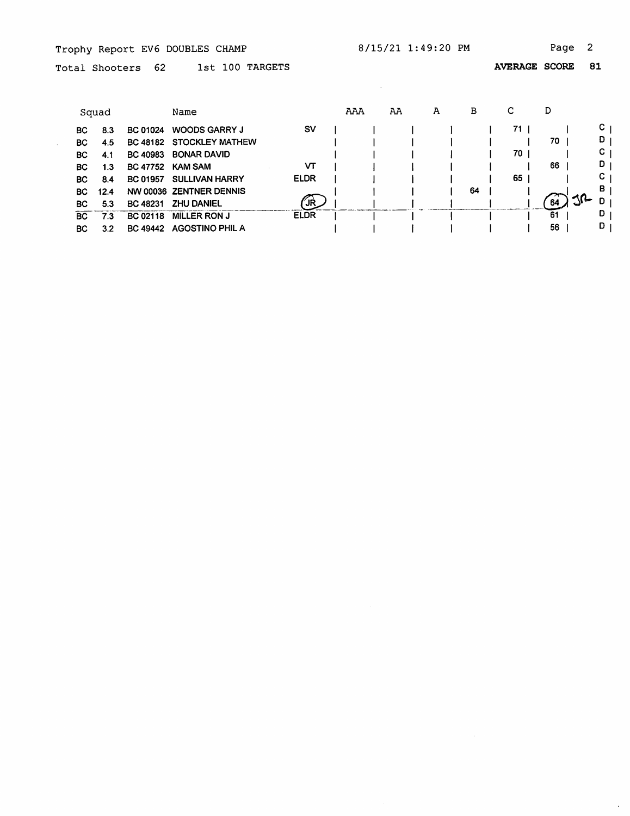$\mathcal{L}^{\mathcal{L}}$ 

 $\mathcal{L}^{\text{max}}_{\text{max}}$ 

 $\ddot{\phantom{0}}$ 

Total Shooters 62 1st 100 TARGETS

AVERAGE SCORE 81

|    | Squad |                 | Name                    |             | AAA | AA | A | в  | С  | D  |                     |
|----|-------|-----------------|-------------------------|-------------|-----|----|---|----|----|----|---------------------|
| BC | 8.3   | <b>BC 01024</b> | <b>WOODS GARRY J</b>    | sv          |     |    |   |    | 71 |    | C.                  |
| BC | 4.5   | <b>BC 48182</b> | <b>STOCKLEY MATHEW</b>  |             |     |    |   |    |    | 70 | D                   |
| BC | 4.1   | BC 40983        | <b>BONAR DAVID</b>      |             |     |    |   |    | 70 |    | C                   |
| BC | 1.3   | <b>BC 47752</b> | <b>KAM SAM</b>          | VΤ          |     |    |   |    |    | 66 | D                   |
| ВC | 8.4   | <b>BC 01957</b> | <b>SULLIVAN HARRY</b>   | <b>ELDR</b> |     |    |   |    | 65 |    | С                   |
| ВC | 12.4  |                 | NW 00036 ZENTNER DENNIS |             |     |    |   | 64 |    |    | B                   |
| BC | 5.3   | <b>BC 48231</b> | <b>ZHU DANIEL</b>       | JR          |     |    |   |    |    | 64 | 3 <sup>2</sup><br>D |
| BC | 73    | BC 02118        | <b>MILLER RON J</b>     | <b>ELDR</b> |     |    |   |    |    | 61 | D                   |
| ВC | 3.2   | BC 49442        | <b>AGOSTINO PHIL A</b>  |             |     |    |   |    |    | 56 | D                   |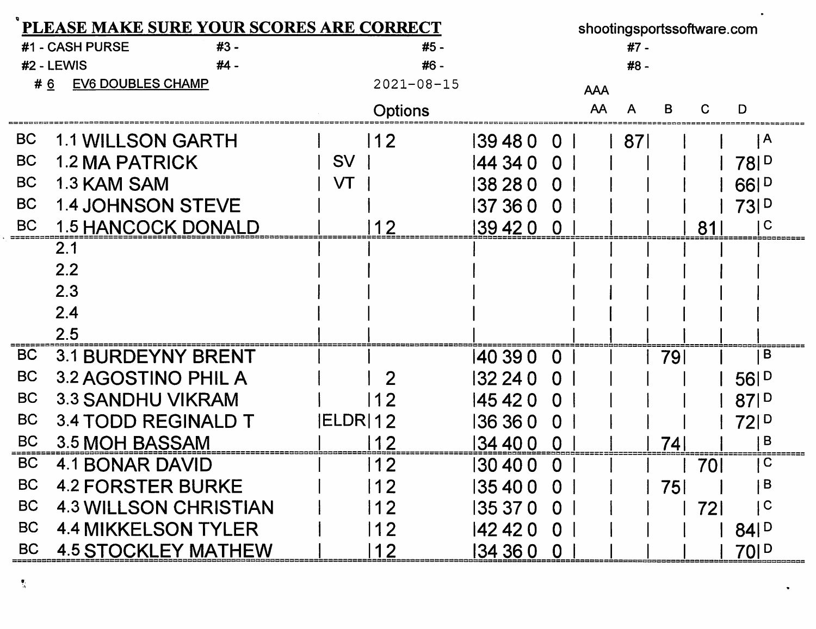| PLEASE MAKE SURE YOUR SCORES ARE CORRECT |                                |             |                  |          |                         |            |       |    | shootingsportssoftware.com |                              |  |
|------------------------------------------|--------------------------------|-------------|------------------|----------|-------------------------|------------|-------|----|----------------------------|------------------------------|--|
|                                          | #1 - CASH PURSE<br>#3 -        |             | #5 -             |          |                         |            | #7 -  |    |                            |                              |  |
|                                          | #2 - LEWIS<br>$#4 -$           |             | #6 -             |          |                         |            | #8 -  |    |                            |                              |  |
|                                          | <b>EV6 DOUBLES CHAMP</b><br>#6 |             | $2021 - 08 - 15$ |          |                         | <b>AAA</b> |       |    |                            |                              |  |
|                                          |                                |             | <b>Options</b>   |          |                         | AA         | A     | B  | C                          | D                            |  |
| <b>BC</b>                                | <b>1.1 WILLSON GARTH</b>       |             | 12               | 394800   |                         |            | l 871 |    |                            | A                            |  |
| <b>BC</b>                                | <b>1.2 MA PATRICK</b>          | <b>SV</b>   |                  | 44 34 0  | $\overline{0}$          |            |       |    |                            | 78 <sub>1</sub> <sup>D</sup> |  |
| <b>BC</b>                                | 1.3 KAM SAM                    | VT          |                  | 138 28 0 | $\Omega$                |            |       |    |                            | 661D                         |  |
| <b>BC</b>                                | <b>1.4 JOHNSON STEVE</b>       |             |                  | 137 36 0 | $\Omega$                |            |       |    |                            | 731 <sup>D</sup>             |  |
| <b>BC</b>                                | <b>1.5 HANCOCK DONALD</b>      |             | 12               | 139 42 0 | $\overline{0}$          |            |       |    | 81                         | l C                          |  |
|                                          | 2.1                            |             |                  |          |                         |            |       |    |                            |                              |  |
|                                          | 2.2                            |             |                  |          |                         |            |       |    |                            |                              |  |
|                                          | 2.3                            |             |                  |          |                         |            |       |    |                            |                              |  |
|                                          | 2.4                            |             |                  |          |                         |            |       |    |                            |                              |  |
|                                          | 2.5                            |             |                  |          |                         |            |       |    |                            |                              |  |
| <b>BC</b>                                | <b>3.1 BURDEYNY BRENT</b>      |             |                  | 140 39 0 | $\Omega$                |            |       | 79 |                            | $\overline{B}$               |  |
| <b>BC</b>                                | 3.2 AGOSTINO PHIL A            |             | $\overline{2}$   | 132 24 0 | $\Omega$                |            |       |    |                            | 56P                          |  |
| <b>BC</b>                                | <b>3.3 SANDHU VIKRAM</b>       |             | -2               | 145 42 0 | $\Omega$                |            |       |    |                            | 87P                          |  |
| <b>BC</b>                                | 3.4 TODD REGINALD T            | $ ELDR $ 12 |                  | 136 36 0 | 0                       |            |       |    |                            | 721 <sup>D</sup>             |  |
| <b>BC</b>                                | 3.5 MOH BASSAM                 |             | 12               | 34 40 0  | $\Omega$                |            |       | 74 |                            | B                            |  |
| <b>BC</b>                                | 4.1 BONAR DAVID                |             | 12               | 30 40 0  | 0                       |            |       |    | 70I                        | $\mathbf C$                  |  |
| BC                                       | <b>4.2 FORSTER BURKE</b>       |             | 12               | 35 40 0  | <b>O</b>                |            |       | 75 |                            | B                            |  |
| <b>BC</b>                                | <b>4.3 WILLSON CHRISTIAN</b>   |             | 12               | 35 37 0  | $\mathbf 0$             |            |       |    | <b>721</b>                 | $\overline{\mathsf{C}}$      |  |
| <b>BC</b>                                | <b>4.4 MIKKELSON TYLER</b>     |             | 12               | 142 42 0 | $\overline{\mathbf{0}}$ |            |       |    |                            | $84$ $P$                     |  |
| <b>BC</b>                                | <b>4.5 STOCKLEY MATHEW</b>     |             | 12               | 134 36 0 | $\mathbf 0$             |            |       |    |                            | 70 <sup>1</sup>              |  |

 $\frac{\alpha}{\gamma_{\rm A}}$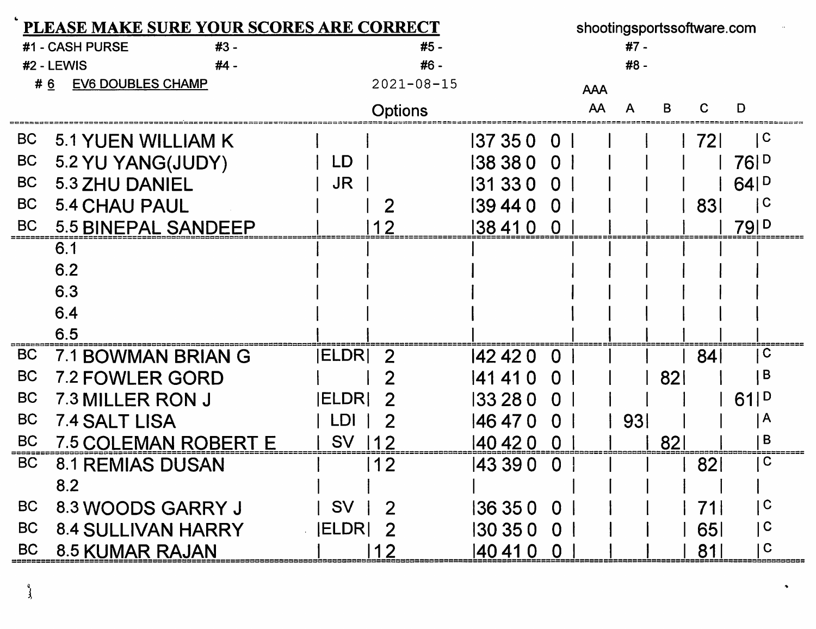| PLEASE MAKE SURE YOUR SCORES ARE CORRECT |                                 |               |                  |            |                | shootingsportssoftware.com |        |    |     |                              |  |
|------------------------------------------|---------------------------------|---------------|------------------|------------|----------------|----------------------------|--------|----|-----|------------------------------|--|
|                                          | #1 - CASH PURSE<br>#3 -         |               | #5 -             |            |                |                            | $#7 -$ |    |     |                              |  |
|                                          | #2 - LEWIS<br>#4 -              |               | #6 -             |            |                |                            | #8 -   |    |     |                              |  |
|                                          | <b>EV6 DOUBLES CHAMP</b><br># 6 |               | $2021 - 08 - 15$ |            |                | <b>AAA</b>                 |        |    |     |                              |  |
|                                          |                                 |               | Options          |            |                | AA                         | Α      | в  |     | D                            |  |
| <b>BC</b>                                | 5.1 YUEN WILLIAM K              |               |                  | 137 35 0   | $\overline{0}$ |                            |        |    | 72I | $\mathsf{C}$                 |  |
| <b>BC</b>                                | 5.2 YU YANG(JUDY)               | LD.           |                  | 38 38 0    | $\mathbf 0$    |                            |        |    |     | 761 <sup>D</sup>             |  |
| <b>BC</b>                                | 5.3 ZHU DANIEL                  | <b>JR</b>     |                  | 131 33 0   | $\Omega$       |                            |        |    |     | $64$ $P$                     |  |
| <b>BC</b>                                | <b>5.4 CHAU PAUL</b>            |               | 2                | 139 44 0   | $\Omega$       |                            |        |    | 831 | $\mathbf C$                  |  |
| <b>BC</b>                                | <b>5.5 BINEPAL SANDEEP</b>      |               | 12               | 138410     | - 0            |                            |        |    |     | 79 <sub>1</sub> <sup>D</sup> |  |
|                                          | 6.1                             |               |                  |            |                |                            |        |    |     |                              |  |
|                                          | 6.2                             |               |                  |            |                |                            |        |    |     |                              |  |
|                                          | 6.3                             |               |                  |            |                |                            |        |    |     |                              |  |
|                                          | 6.4                             |               |                  |            |                |                            |        |    |     |                              |  |
|                                          | 6.5                             |               |                  |            |                |                            |        |    |     |                              |  |
| <b>BC</b>                                | 7.1 BOWMAN BRIAN G              | <b>IELDRI</b> | -2               | 142 42 0   | $\Omega$       |                            |        |    | 84  | C                            |  |
| <b>BC</b>                                | <b>7.2 FOWLER GORD</b>          |               | 2                | 141 41 0   | <sup>0</sup>   |                            |        | 82 |     | B                            |  |
| <b>BC</b>                                | 7.3 MILLER RON J                | <b>ELDRI</b>  | 2                | 33 28 0    | $\Omega$       |                            |        |    |     | 61 <sub>1</sub> <sup>D</sup> |  |
| <b>BC</b>                                | 7.4 SALT LISA                   | -DI           |                  | 146 47 0   | 0              |                            | 931    |    |     | $\mathsf{A}$                 |  |
| <b>BC</b>                                | <b>7.5 COLEMAN ROBERT E</b>     | <b>SV</b>     |                  | 40 42 0    | 0              |                            |        | 82 |     | B                            |  |
| <b>BC</b>                                | 8.1 REMIAS DUSAN                |               | 12               | 143 39 0   | 0              |                            |        |    | 821 | C                            |  |
|                                          | 8.2                             |               |                  |            |                |                            |        |    |     |                              |  |
| <b>BC</b>                                | 8.3 WOODS GARRY J               | <b>SV</b>     |                  | 136 35 0 0 |                |                            |        |    | 71  | $\mathbf C$                  |  |
| <b>BC</b>                                | <b>8.4 SULLIVAN HARRY</b>       | <b>ELDR</b>   |                  | 30 35 0    | $\overline{0}$ |                            |        |    | 651 | $\mathbf C$                  |  |
| <b>BC</b>                                | 8.5 KUMAR RAJAN                 |               | $\overline{2}$   | 40 41 0    | $\mathbf 0$    |                            |        |    | 81  | $\mathbf C$                  |  |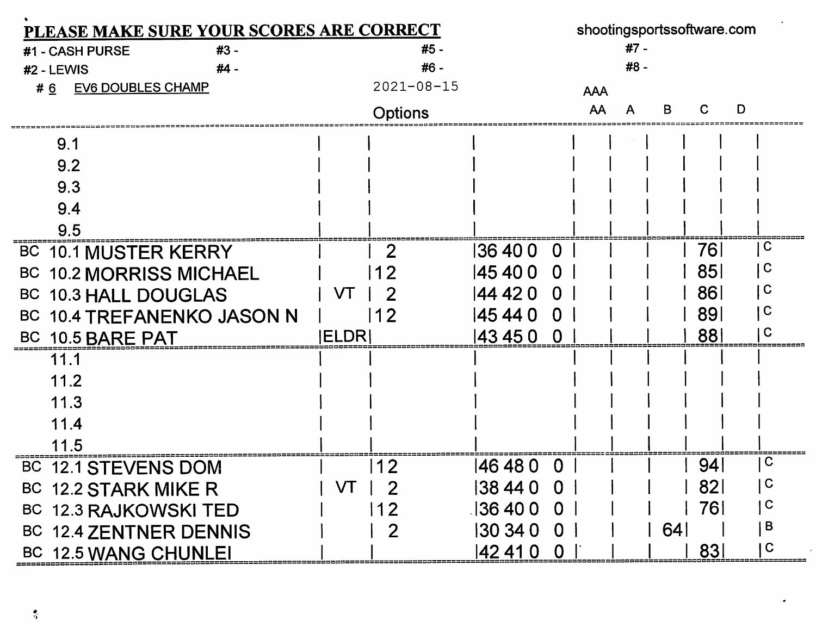| PLEASE MAKE SURE YOUR SCORES ARE CORRECT | shootingsportssoftware.com |                            |            |                           |  |  |  |
|------------------------------------------|----------------------------|----------------------------|------------|---------------------------|--|--|--|
| #3 -<br>#1 - CASH PURSE                  | #5 -                       |                            | #7 -       |                           |  |  |  |
| #4 -<br>#2 - LEWIS                       | #6 -                       |                            | #8 -       |                           |  |  |  |
| <b>EV6 DOUBLES CHAMP</b><br>#6           | $2021 - 08 - 15$           |                            | <b>AAA</b> |                           |  |  |  |
|                                          | Options                    |                            | AA         | D<br>ĸ                    |  |  |  |
| 9.1                                      |                            |                            |            |                           |  |  |  |
| 9.2                                      |                            |                            |            |                           |  |  |  |
| 9.3                                      |                            |                            |            |                           |  |  |  |
| 9.4                                      |                            |                            |            |                           |  |  |  |
| 9.5                                      |                            |                            |            |                           |  |  |  |
| <b>BC 10.1 MUSTER KERRY</b>              |                            | 136400<br>O                |            | $\mathbf C$<br>76         |  |  |  |
| <b>BC 10.2 MORRISS MICHAEL</b>           |                            | 145 40 0<br>$\Omega$       |            | $\mathbf C$<br>85         |  |  |  |
| BC 10.3 HALL DOUGLAS                     | VT                         | 144 42 0<br>0              |            | $\mid$ C<br>86            |  |  |  |
| BC 10.4 TREFANENKO JASON N               | 2                          | 145 44 0<br>$\Omega$       |            | C<br>891                  |  |  |  |
| BC 10.5 BARE PAT                         | ELDR                       | 43 45 0<br>$\Omega$        |            | C<br>881                  |  |  |  |
| 11.1                                     |                            |                            |            |                           |  |  |  |
| 11.2                                     |                            |                            |            |                           |  |  |  |
| 11.3                                     |                            |                            |            |                           |  |  |  |
| 11.4                                     |                            |                            |            |                           |  |  |  |
| 11.5                                     |                            |                            |            |                           |  |  |  |
| <b>BC</b><br><b>12.1 STEVENS DOM</b>     | 12                         | 146 48 0<br>O              |            | $\mathbf C$<br>941        |  |  |  |
| BC 12.2 STARK MIKE R                     | VT<br>$\overline{2}$       | 38 44 0 0                  |            | $\mathbf C$<br><b>821</b> |  |  |  |
| BC 12.3 RAJKOWSKI TED                    | 12                         | 136400<br>$\mathbf 0$      |            | $\mathsf{C}$<br>761       |  |  |  |
| BC 12.4 ZENTNER DENNIS                   | 2                          | 130 34 0<br>0 <sup>1</sup> |            | B<br>64                   |  |  |  |
| BC 12.5 WANG CHUNLEI                     |                            | 142 41 0<br>$\overline{0}$ |            | $\mathbf C$<br>831        |  |  |  |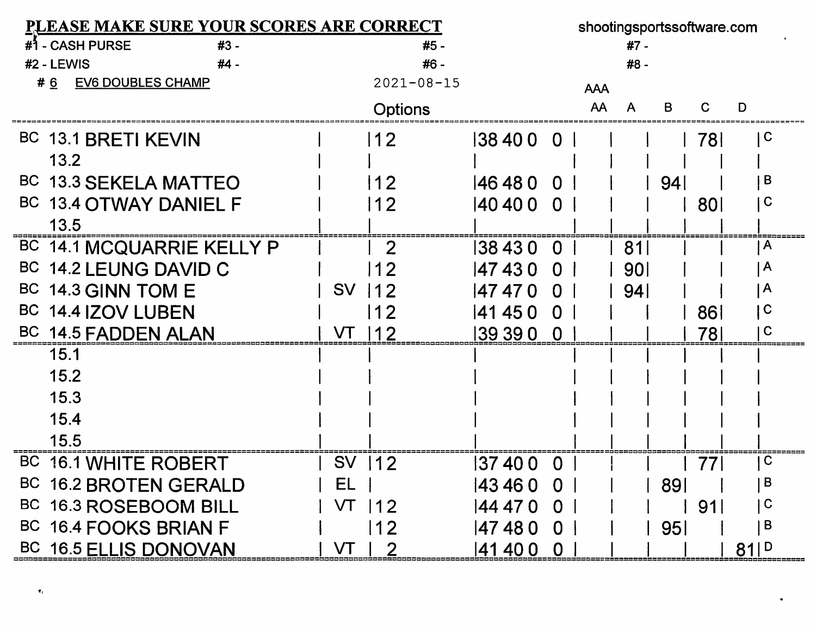| <b>PLEASE MAKE SURE YOUR SCORES ARE CORRECT</b> |           |                  |          |                |            |                 |     | shootingsportssoftware.com |              |
|-------------------------------------------------|-----------|------------------|----------|----------------|------------|-----------------|-----|----------------------------|--------------|
| #1 - CASH PURSE<br>$#3 -$                       |           | #5 -             |          |                |            | #7 -            |     |                            |              |
| #2 - LEWIS<br>#4 -                              |           | #6 -             |          |                |            | #8 -            |     |                            |              |
| <b>EV6 DOUBLES CHAMP</b><br>#6                  |           | $2021 - 08 - 15$ |          |                | <b>AAA</b> |                 |     |                            |              |
|                                                 |           | <b>Options</b>   |          |                | AA         | A               | B   | C                          | D            |
| BC 13.1 BRETI KEVIN                             |           | 12               | 384000   |                |            |                 |     | 78I                        | C            |
| 13.2                                            |           |                  |          |                |            |                 |     |                            |              |
| BC 13.3 SEKELA MATTEO                           |           | 12               | 146 48 0 | $\Omega$       |            |                 | 94  |                            | B            |
| BC 13.4 OTWAY DANIEL F                          |           | 12               | 140 40 0 | $\Omega$       |            |                 |     | <b>801</b>                 | C            |
| 13.5                                            |           |                  |          |                |            |                 |     |                            |              |
| BC 14.1 MCQUARRIE KELLY P                       |           | $\overline{2}$   | 38 43 0  | 0              |            | 81              |     |                            | A            |
| BC<br>14.2 LEUNG DAVID C                        |           | 12               | 47430    | $\Omega$       |            | <b>901</b>      |     |                            | A            |
| BC 14.3 GINN TOM E                              | <b>SV</b> | 12               | 47470    | $\Omega$       |            | 94 <sub>1</sub> |     |                            | $\mathsf{A}$ |
| BC 14.4 IZOV LUBEN                              |           | 12               | 41 45 0  | $\overline{0}$ |            |                 |     | 861                        | C            |
| BC 14.5 FADDEN ALAN                             |           | 12               | 39 39 0  | $\overline{0}$ |            |                 |     | 78I                        | C            |
| 15.1                                            |           |                  |          |                |            |                 |     |                            |              |
| 15.2                                            |           |                  |          |                |            |                 |     |                            |              |
| 15.3                                            |           |                  |          |                |            |                 |     |                            |              |
| 15.4                                            |           |                  |          |                |            |                 |     |                            |              |
| 15.5                                            |           |                  |          |                |            |                 |     |                            |              |
| BC 16.1 WHITE ROBERT                            | <b>SV</b> | 112              | 137 40 0 | $\bf{0}$       |            |                 |     | 771                        | C            |
| BC 16.2 BROTEN GERALD                           | EL        |                  | 143 46 0 | $\overline{0}$ |            |                 | 891 |                            | B            |
| BC 16.3 ROSEBOOM BILL                           | VT        | $ 12\rangle$     | 144 47 0 | 0              |            |                 |     | 91                         | C            |
| BC 16.4 FOOKS BRIAN F                           |           | 12               | 47480    | $\Omega$       |            |                 | 95  |                            | B            |
| BC 16.5 ELLIS DONOVAN                           | VT        | $\overline{2}$   | 41 40 0  | $\mathbf 0$    |            |                 |     |                            | 81P          |

 $\pmb{\tau}_t$